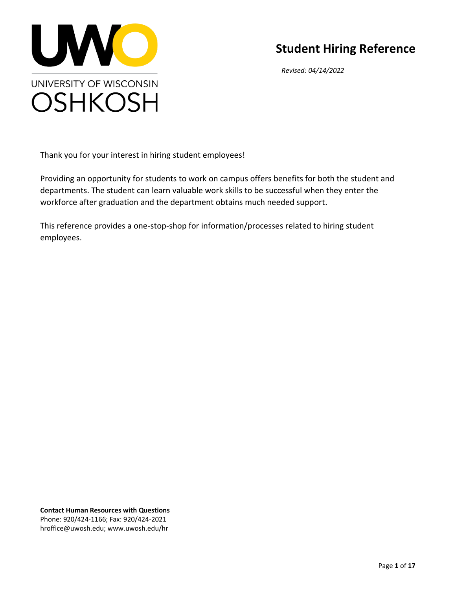

# **Student Hiring Reference**

*Revised: 04/14/2022*

Thank you for your interest in hiring student employees!

Providing an opportunity for students to work on campus offers benefits for both the student and departments. The student can learn valuable work skills to be successful when they enter the workforce after graduation and the department obtains much needed support.

This reference provides a one-stop-shop for information/processes related to hiring student employees.

**Contact Human Resources with Questions** Phone: 920/424-1166; Fax: 920/424-2021 hroffice@uwosh.edu; www.uwosh.edu/hr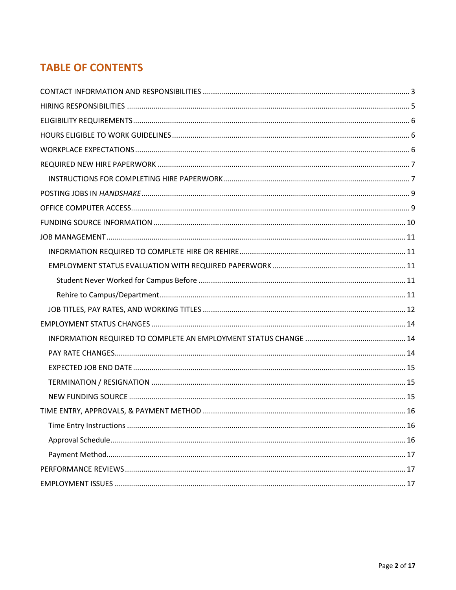## **TABLE OF CONTENTS**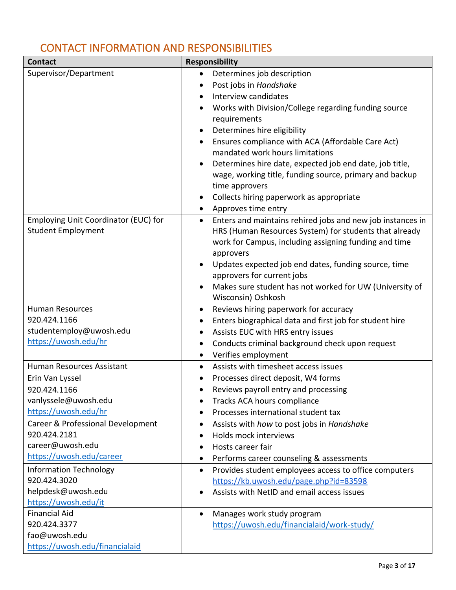# <span id="page-2-0"></span>CONTACT INFORMATION AND RESPONSIBILITIES

| Supervisor/Department<br>Determines job description<br>$\bullet$<br>Post jobs in Handshake<br>Interview candidates<br>$\bullet$ | <b>Contact</b> | <b>Responsibility</b>                                      |  |  |  |
|---------------------------------------------------------------------------------------------------------------------------------|----------------|------------------------------------------------------------|--|--|--|
|                                                                                                                                 |                |                                                            |  |  |  |
|                                                                                                                                 |                |                                                            |  |  |  |
|                                                                                                                                 |                |                                                            |  |  |  |
| Works with Division/College regarding funding source                                                                            |                |                                                            |  |  |  |
| requirements                                                                                                                    |                |                                                            |  |  |  |
| Determines hire eligibility<br>$\bullet$                                                                                        |                |                                                            |  |  |  |
| Ensures compliance with ACA (Affordable Care Act)<br>$\bullet$                                                                  |                |                                                            |  |  |  |
| mandated work hours limitations                                                                                                 |                |                                                            |  |  |  |
| Determines hire date, expected job end date, job title,<br>$\bullet$                                                            |                |                                                            |  |  |  |
| wage, working title, funding source, primary and backup                                                                         |                |                                                            |  |  |  |
| time approvers                                                                                                                  |                |                                                            |  |  |  |
| Collects hiring paperwork as appropriate<br>$\bullet$                                                                           |                |                                                            |  |  |  |
| Approves time entry<br>$\bullet$                                                                                                |                |                                                            |  |  |  |
| Employing Unit Coordinator (EUC) for<br>$\bullet$                                                                               |                | Enters and maintains rehired jobs and new job instances in |  |  |  |
| <b>Student Employment</b><br>HRS (Human Resources System) for students that already                                             |                |                                                            |  |  |  |
| work for Campus, including assigning funding and time                                                                           |                |                                                            |  |  |  |
| approvers                                                                                                                       |                |                                                            |  |  |  |
| Updates expected job end dates, funding source, time<br>٠                                                                       |                |                                                            |  |  |  |
| approvers for current jobs                                                                                                      |                |                                                            |  |  |  |
| Makes sure student has not worked for UW (University of<br>$\bullet$                                                            |                |                                                            |  |  |  |
| Wisconsin) Oshkosh                                                                                                              |                |                                                            |  |  |  |
| <b>Human Resources</b><br>Reviews hiring paperwork for accuracy<br>$\bullet$                                                    |                |                                                            |  |  |  |
| 920.424.1166<br>Enters biographical data and first job for student hire<br>$\bullet$                                            |                |                                                            |  |  |  |
| studentemploy@uwosh.edu<br>https://uwosh.edu/hr                                                                                 |                | Assists EUC with HRS entry issues<br>$\bullet$             |  |  |  |
| Conducts criminal background check upon request<br>$\bullet$                                                                    |                |                                                            |  |  |  |
| Verifies employment<br>$\bullet$                                                                                                |                |                                                            |  |  |  |
| Human Resources Assistant<br>Assists with timesheet access issues<br>$\bullet$                                                  |                |                                                            |  |  |  |
| Processes direct deposit, W4 forms<br>Erin Van Lyssel                                                                           |                |                                                            |  |  |  |
| Reviews payroll entry and processing<br>920.424.1166                                                                            |                |                                                            |  |  |  |
| vanlyssele@uwosh.edu<br>Tracks ACA hours compliance<br>$\bullet$                                                                |                |                                                            |  |  |  |
| https://uwosh.edu/hr<br>Processes international student tax<br>٠                                                                |                |                                                            |  |  |  |
| Career & Professional Development<br>Assists with how to post jobs in Handshake<br>$\bullet$<br>920.424.2181                    |                |                                                            |  |  |  |
| Holds mock interviews<br>$\bullet$<br>career@uwosh.edu                                                                          |                |                                                            |  |  |  |
| Hosts career fair<br>https://uwosh.edu/career                                                                                   |                |                                                            |  |  |  |
| Performs career counseling & assessments<br>٠                                                                                   |                |                                                            |  |  |  |
| <b>Information Technology</b><br>Provides student employees access to office computers<br>$\bullet$<br>920.424.3020             |                |                                                            |  |  |  |
| https://kb.uwosh.edu/page.php?id=83598<br>helpdesk@uwosh.edu                                                                    |                |                                                            |  |  |  |
| Assists with NetID and email access issues<br>https://uwosh.edu/it                                                              |                |                                                            |  |  |  |
| <b>Financial Aid</b><br>Manages work study program<br>$\bullet$                                                                 |                |                                                            |  |  |  |
| 920.424.3377<br>https://uwosh.edu/financialaid/work-study/                                                                      |                |                                                            |  |  |  |
| fao@uwosh.edu                                                                                                                   |                |                                                            |  |  |  |
| https://uwosh.edu/financialaid                                                                                                  |                |                                                            |  |  |  |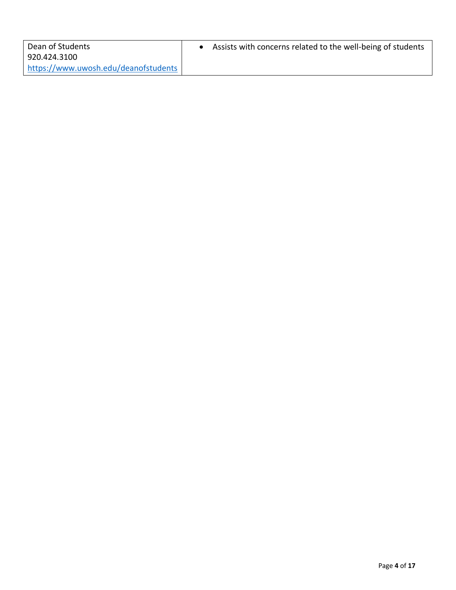| Dean of Students                     | Assists with concerns related to the well-being of students |
|--------------------------------------|-------------------------------------------------------------|
| 920.424.3100                         |                                                             |
| https://www.uwosh.edu/deanofstudents |                                                             |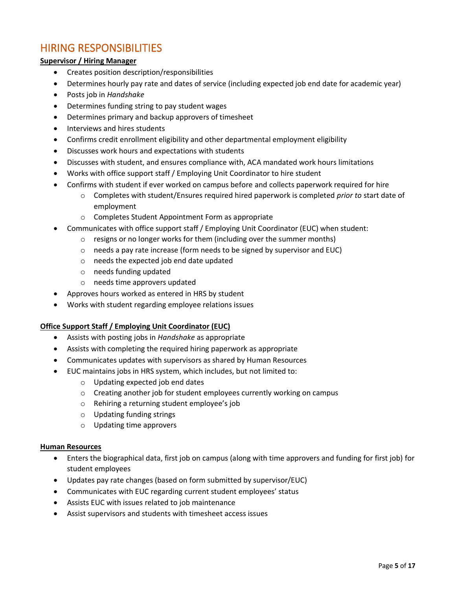### <span id="page-4-0"></span>HIRING RESPONSIBILITIES

#### **Supervisor / Hiring Manager**

- Creates position description/responsibilities
- Determines hourly pay rate and dates of service (including expected job end date for academic year)
- Posts job in *Handshake*
- Determines funding string to pay student wages
- Determines primary and backup approvers of timesheet
- Interviews and hires students
- Confirms credit enrollment eligibility and other departmental employment eligibility
- Discusses work hours and expectations with students
- Discusses with student, and ensures compliance with, ACA mandated work hours limitations
- Works with office support staff / Employing Unit Coordinator to hire student
- Confirms with student if ever worked on campus before and collects paperwork required for hire
	- o Completes with student/Ensures required hired paperwork is completed *prior to* start date of employment
	- o Completes Student Appointment Form as appropriate
- Communicates with office support staff / Employing Unit Coordinator (EUC) when student:
	- o resigns or no longer works for them (including over the summer months)
	- o needs a pay rate increase (form needs to be signed by supervisor and EUC)
	- o needs the expected job end date updated
	- o needs funding updated
	- o needs time approvers updated
- Approves hours worked as entered in HRS by student
- Works with student regarding employee relations issues

#### **Office Support Staff / Employing Unit Coordinator (EUC)**

- Assists with posting jobs in *Handshake* as appropriate
- Assists with completing the required hiring paperwork as appropriate
- Communicates updates with supervisors as shared by Human Resources
- EUC maintains jobs in HRS system, which includes, but not limited to:
	- o Updating expected job end dates
	- o Creating another job for student employees currently working on campus
	- o Rehiring a returning student employee's job
	- o Updating funding strings
	- o Updating time approvers

#### **Human Resources**

- Enters the biographical data, first job on campus (along with time approvers and funding for first job) for student employees
- Updates pay rate changes (based on form submitted by supervisor/EUC)
- Communicates with EUC regarding current student employees' status
- Assists EUC with issues related to job maintenance
- Assist supervisors and students with timesheet access issues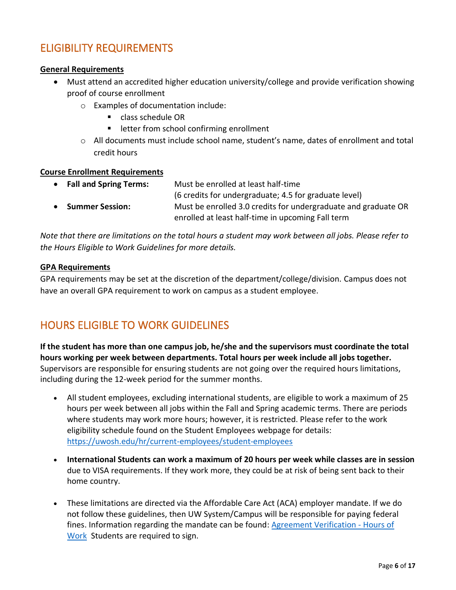## <span id="page-5-0"></span>ELIGIBILITY REQUIREMENTS

#### **General Requirements**

- Must attend an accredited higher education university/college and provide verification showing proof of course enrollment
	- o Examples of documentation include:
		- class schedule OR
		- letter from school confirming enrollment
	- $\circ$  All documents must include school name, student's name, dates of enrollment and total credit hours

#### **Course Enrollment Requirements**

|           | • Fall and Spring Terms: | Must be enrolled at least half-time                            |
|-----------|--------------------------|----------------------------------------------------------------|
|           |                          | (6 credits for undergraduate; 4.5 for graduate level)          |
| $\bullet$ | <b>Summer Session:</b>   | Must be enrolled 3.0 credits for undergraduate and graduate OR |
|           |                          | enrolled at least half-time in upcoming Fall term              |

*Note that there are limitations on the total hours a student may work between all jobs. Please refer to the Hours Eligible to Work Guidelines for more details.*

#### **GPA Requirements**

GPA requirements may be set at the discretion of the department/college/division. Campus does not have an overall GPA requirement to work on campus as a student employee.

## <span id="page-5-1"></span>HOURS ELIGIBLE TO WORK GUIDELINES

**If the student has more than one campus job, he/she and the supervisors must coordinate the total hours working per week between departments. Total hours per week include all jobs together.** Supervisors are responsible for ensuring students are not going over the required hours limitations, including during the 12-week period for the summer months.

- All student employees, excluding international students, are eligible to work a maximum of 25 hours per week between all jobs within the Fall and Spring academic terms. There are periods where students may work more hours; however, it is restricted. Please refer to the work eligibility schedule found on the Student Employees webpage for details: https://uwosh.edu/hr/current-employees/student-employees
- <span id="page-5-2"></span>• **International Students can work a maximum of 20 hours per week while classes are in session** due to VISA requirements. If they work more, they could be at risk of being sent back to their home country.
- These limitations are directed via the Affordable Care Act (ACA) employer mandate. If we do not follow these guidelines, then UW System/Campus will be responsible for paying federal fines. Information regarding the mandate can be found: [Agreement Verification -](https://uwosh.edu/hr/wp-content/uploads/sites/90/2015/11/Agreement-Verification-of-Hours-of-Work-Student-Employment-1.pdf) Hours of [Work](https://uwosh.edu/hr/wp-content/uploads/sites/90/2015/11/Agreement-Verification-of-Hours-of-Work-Student-Employment-1.pdf) Students are required to sign.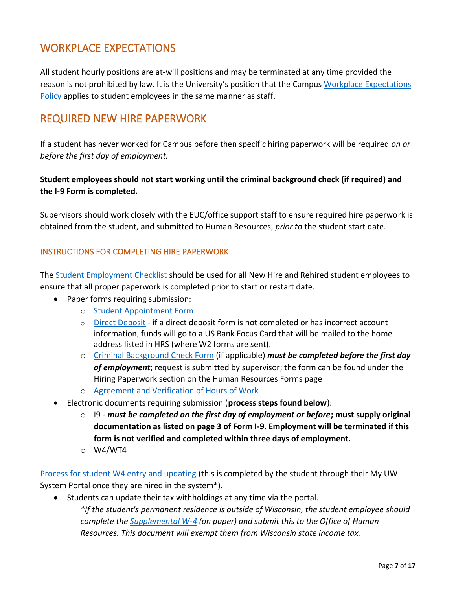## WORKPLACE EXPECTATIONS

All student hourly positions are at-will positions and may be terminated at any time provided the reason is not prohibited by law. It is the University's position that the Campus [Workplace Expectations](https://uwosh.edu/hr/wp-content/uploads/sites/90/2016/02/WorkplaceExpectationsPolicyProposal-FINAL-3-24-17.pdf) [Policy](https://uwosh.edu/hr/wp-content/uploads/sites/90/2016/02/WorkplaceExpectationsPolicyProposal-FINAL-3-24-17.pdf) applies to student employees in the same manner as staff.

## <span id="page-6-0"></span>REQUIRED NEW HIRE PAPERWORK

If a student has never worked for Campus before then specific hiring paperwork will be required *on or before the first day of employment.* 

### **Student employees should not start working until the criminal background check (if required) and the I-9 Form is completed.**

Supervisors should work closely with the EUC/office support staff to ensure required hire paperwork is obtained from the student, and submitted to Human Resources, *prior to* the student start date.

### <span id="page-6-1"></span>INSTRUCTIONS FOR COMPLETING HIRE PAPERWORK

The Student [Employment Checklist](https://uwosh.edu/hr/wp-content/uploads/sites/90/2020/12/Student-Employment-Checklist-2-2.docx) should be used for all New Hire and Rehired student employees to ensure that all proper paperwork is completed prior to start or restart date.

- Paper forms requiring submission:
	- o [Student Appointment Form](https://uwosh.edu/hr/wp-content/uploads/sites/90/2020/01/Student-Appointment-Form-11.1.21.doc)
	- $\circ$  [Direct Deposit](https://uwservice.wisconsin.edu/docs/forms/pay-direct-deposit.pdf) if a direct deposit form is not completed or has incorrect account information, funds will go to a US Bank Focus Card that will be mailed to the home address listed in HRS (where W2 forms are sent).
	- o [Criminal Background Check Form](https://uwosh.edu/hr/wp-content/uploads/sites/90/2021/02/CBC-Form-2021.docx) (if applicable) *must be completed before the first day of employment*; request is submitted by supervisor; the form can be found under the Hiring Paperwork section on the Human Resources Forms page
	- o [Agreement and Verification of Hours of Work](https://uwosh.edu/hr/wp-content/uploads/sites/90/2015/11/Agreement-Verification-of-Hours-of-Work-Student-Employment-1.pdf)
- Electronic documents requiring submission (**process steps found below**):
	- o I9 *must be completed on the first day of employment or before***; must supply original documentation as listed on page 3 of Form I-9. Employment will be terminated if this form is not verified and completed within three days of employment.**
	- o W4/WT4

[Process for student W4 entry and updating](https://uwservice.wisconsin.edu/docs/publications/pay-update-federal-state-w4.pdf) (this is completed by the student through their My UW System Portal once they are hired in the system\*).

• Students can update their tax withholdings at any time via the portal. *\*If the student's permanent residence is outside of Wisconsin, the student employee should complete the [Supplemental W-4](https://uwservice.wisconsin.edu/docs/forms/tax-w4-supplemental.pdf) (on paper) and submit this to the Office of Human Resources. This document will exempt them from Wisconsin state income tax.*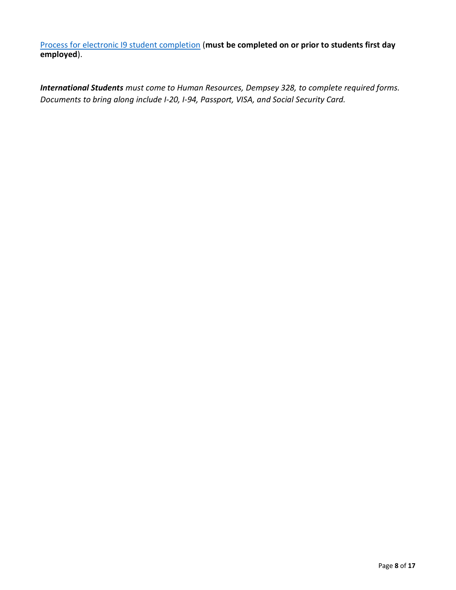[Process for electronic I9 student completion](https://uwosh.edu/hr/wp-content/uploads/sites/90/2020/11/12-Process-for-Students-to-do-I9-electronically-1.pdf) (**must be completed on or prior to students first day employed**).

*International Students must come to Human Resources, Dempsey 328, to complete required forms. Documents to bring along include I-20, I-94, Passport, VISA, and Social Security Card.*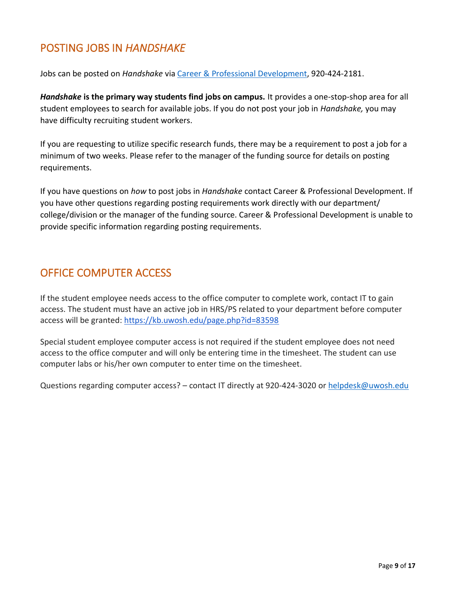# <span id="page-8-0"></span>POSTING JOBS IN *HANDSHAKE*

Jobs can be posted on *Handshake* via Career & [Professional Development,](https://uwosh.edu/career) 920-424-2181.

*Handshake* **is the primary way students find jobs on campus.** It provides a one-stop-shop area for all student employees to search for available jobs. If you do not post your job in *Handshake,* you may have difficulty recruiting student workers.

If you are requesting to utilize specific research funds, there may be a requirement to post a job for a minimum of two weeks. Please refer to the manager of the funding source for details on posting requirements.

If you have questions on *how* to post jobs in *Handshake* contact Career & Professional Development. If you have other questions regarding posting requirements work directly with our department/ college/division or the manager of the funding source. Career & Professional Development is unable to provide specific information regarding posting requirements.

## <span id="page-8-1"></span>OFFICE COMPUTER ACCESS

If the student employee needs access to the office computer to complete work, contact IT to gain access. The student must have an active job in HRS/PS related to your department before computer access will be granted: <https://kb.uwosh.edu/page.php?id=83598>

Special student employee computer access is not required if the student employee does not need access to the office computer and will only be entering time in the timesheet. The student can use computer labs or his/her own computer to enter time on the timesheet.

Questions regarding computer access? – contact IT directly at 920-424-3020 o[r helpdesk@uwosh.edu](mailto:helpdesk@uwosh.edu)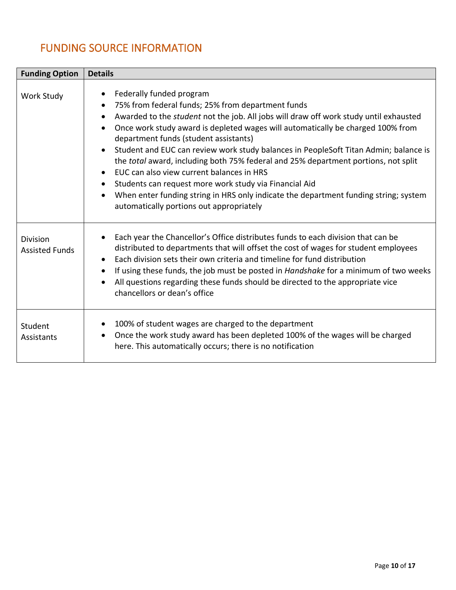# <span id="page-9-0"></span>FUNDING SOURCE INFORMATION

| <b>Funding Option</b>                    | <b>Details</b>                                                                                                                                                                                                                                                                                                                                                                                                                                                                                                                                                                                                                                                                                                                                                                                                                |
|------------------------------------------|-------------------------------------------------------------------------------------------------------------------------------------------------------------------------------------------------------------------------------------------------------------------------------------------------------------------------------------------------------------------------------------------------------------------------------------------------------------------------------------------------------------------------------------------------------------------------------------------------------------------------------------------------------------------------------------------------------------------------------------------------------------------------------------------------------------------------------|
| Work Study                               | Federally funded program<br>$\bullet$<br>75% from federal funds; 25% from department funds<br>$\bullet$<br>Awarded to the <i>student</i> not the job. All jobs will draw off work study until exhausted<br>$\bullet$<br>Once work study award is depleted wages will automatically be charged 100% from<br>$\bullet$<br>department funds (student assistants)<br>Student and EUC can review work study balances in PeopleSoft Titan Admin; balance is<br>$\bullet$<br>the total award, including both 75% federal and 25% department portions, not split<br>EUC can also view current balances in HRS<br>$\bullet$<br>Students can request more work study via Financial Aid<br>When enter funding string in HRS only indicate the department funding string; system<br>$\bullet$<br>automatically portions out appropriately |
| <b>Division</b><br><b>Assisted Funds</b> | Each year the Chancellor's Office distributes funds to each division that can be<br>$\bullet$<br>distributed to departments that will offset the cost of wages for student employees<br>Each division sets their own criteria and timeline for fund distribution<br>$\bullet$<br>If using these funds, the job must be posted in Handshake for a minimum of two weeks<br>٠<br>All questions regarding these funds should be directed to the appropriate vice<br>$\bullet$<br>chancellors or dean's office                                                                                                                                                                                                                                                                                                                     |
| Student<br>Assistants                    | 100% of student wages are charged to the department<br>$\bullet$<br>Once the work study award has been depleted 100% of the wages will be charged<br>$\bullet$<br>here. This automatically occurs; there is no notification                                                                                                                                                                                                                                                                                                                                                                                                                                                                                                                                                                                                   |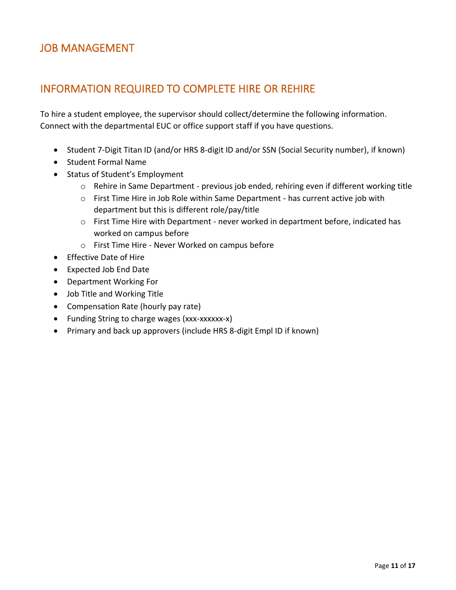## <span id="page-10-0"></span>JOB MANAGEMENT

## <span id="page-10-1"></span>INFORMATION REQUIRED TO COMPLETE HIRE OR REHIRE

To hire a student employee, the supervisor should collect/determine the following information. Connect with the departmental EUC or office support staff if you have questions.

- Student 7-Digit Titan ID (and/or HRS 8-digit ID and/or SSN (Social Security number), if known)
- Student Formal Name
- Status of Student's Employment
	- o Rehire in Same Department previous job ended, rehiring even if different working title
	- $\circ$  First Time Hire in Job Role within Same Department has current active job with department but this is different role/pay/title
	- $\circ$  First Time Hire with Department never worked in department before, indicated has worked on campus before
	- o First Time Hire Never Worked on campus before
- Effective Date of Hire
- Expected Job End Date
- Department Working For
- Job Title and Working Title
- Compensation Rate (hourly pay rate)
- Funding String to charge wages (xxx-xxxxxx-x)
- Primary and back up approvers (include HRS 8-digit Empl ID if known)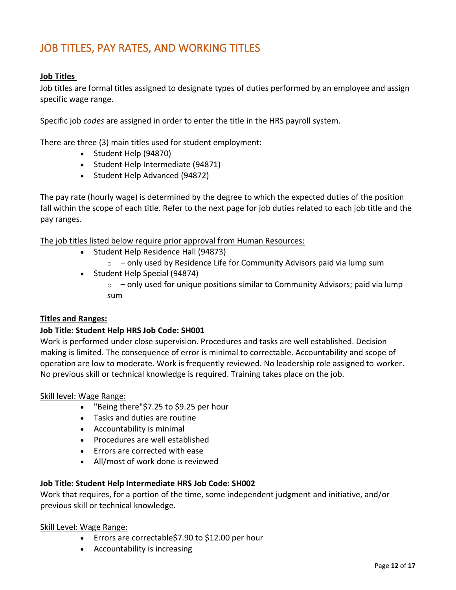## <span id="page-11-0"></span>JOB TITLES, PAY RATES, AND WORKING TITLES

#### **Job Titles**

Job titles are formal titles assigned to designate types of duties performed by an employee and assign specific wage range.

Specific job *codes* are assigned in order to enter the title in the HRS payroll system.

There are three (3) main titles used for student employment:

- Student Help (94870)
- Student Help Intermediate (94871)
- Student Help Advanced (94872)

The pay rate (hourly wage) is determined by the degree to which the expected duties of the position fall within the scope of each title. Refer to the next page for job duties related to each job title and the pay ranges.

The job titles listed below require prior approval from Human Resources:

- Student Help Residence Hall (94873)
	- $\circ$  only used by Residence Life for Community Advisors paid via lump sum
- Student Help Special (94874)
	- $\circ$  only used for unique positions similar to Community Advisors; paid via lump sum

#### **Titles and Ranges:**

#### **Job Title: Student Help HRS Job Code: SH001**

Work is performed under close supervision. Procedures and tasks are well established. Decision making is limited. The consequence of error is minimal to correctable. Accountability and scope of operation are low to moderate. Work is frequently reviewed. No leadership role assigned to worker. No previous skill or technical knowledge is required. Training takes place on the job.

#### Skill level: Wage Range:

- "Being there"\$7.25 to \$9.25 per hour
- Tasks and duties are routine
- Accountability is minimal
- Procedures are well established
- Errors are corrected with ease
- All/most of work done is reviewed

#### **Job Title: Student Help Intermediate HRS Job Code: SH002**

Work that requires, for a portion of the time, some independent judgment and initiative, and/or previous skill or technical knowledge.

#### Skill Level: Wage Range:

- Errors are correctable\$7.90 to \$12.00 per hour
- Accountability is increasing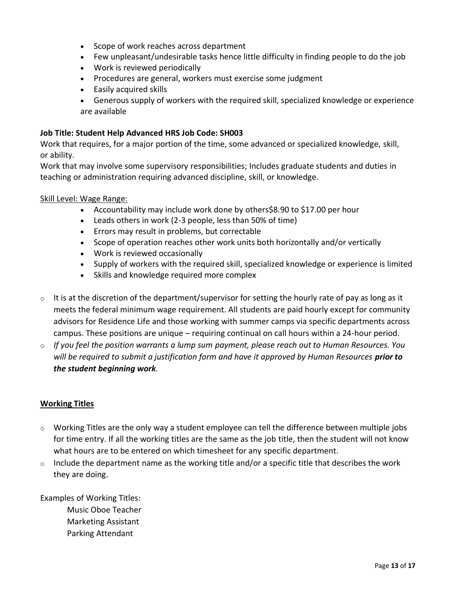- Scope of work reaches across department
- Few unpleasant/undesirable tasks hence little difficulty in finding people to do the job
- Work is reviewed periodically
- Procedures are general, workers must exercise some judgment
- Easily acquired skills
- Generous supply of workers with the required skill, specialized knowledge or experience are available

### **Job Title: Student Help Advanced HRS Job Code: SH003**

Work that requires, for a major portion of the time, some advanced or specialized knowledge, skill, or ability.

Work that may involve some supervisory responsibilities; Includes graduate students and duties in teaching or administration requiring advanced discipline, skill, or knowledge.

### Skill Level: Wage Range:

- Accountability may include work done by others\$8.90 to \$17.00 per hour
- Leads others in work (2-3 people, less than 50% of time)
- Errors may result in problems, but correctable
- Scope of operation reaches other work units both horizontally and/or vertically
- Work is reviewed occasionally
- Supply of workers with the required skill, specialized knowledge or experience is limited
- Skills and knowledge required more complex
- $\circ$  It is at the discretion of the department/supervisor for setting the hourly rate of pay as long as it meets the federal minimum wage requirement. All students are paid hourly except for community advisors for Residence Life and those working with summer camps via specific departments across campus. These positions are unique – requiring continual on call hours within a 24-hour period.
- o *If you feel the position warrants a lump sum payment, please reach out to Human Resources. You will be required to submit a justification form and have it approved by Human Resources prior to the student beginning work.*

### **Working Titles**

- o Working Titles are the only way a student employee can tell the difference between multiple jobs for time entry. If all the working titles are the same as the job title, then the student will not know what hours are to be entered on which timesheet for any specific department.
- $\circ$  Include the department name as the working title and/or a specific title that describes the work they are doing.

Examples of Working Titles: Music Oboe Teacher Marketing Assistant Parking Attendant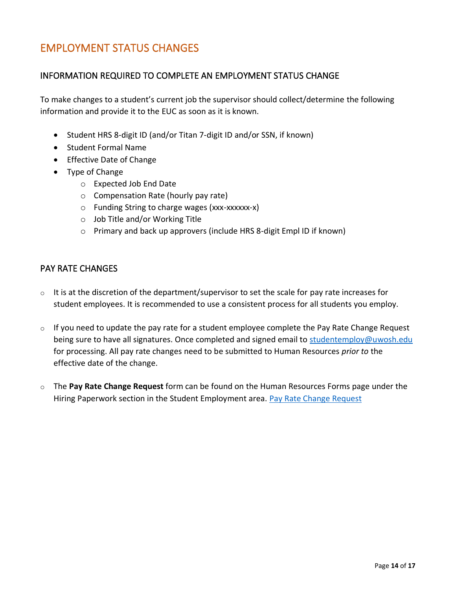## <span id="page-13-0"></span>EMPLOYMENT STATUS CHANGES

### <span id="page-13-1"></span>INFORMATION REQUIRED TO COMPLETE AN EMPLOYMENT STATUS CHANGE

To make changes to a student's current job the supervisor should collect/determine the following information and provide it to the EUC as soon as it is known.

- Student HRS 8-digit ID (and/or Titan 7-digit ID and/or SSN, if known)
- Student Formal Name
- Effective Date of Change
- Type of Change
	- o Expected Job End Date
	- o Compensation Rate (hourly pay rate)
	- o Funding String to charge wages (xxx-xxxxxx-x)
	- o Job Title and/or Working Title
	- o Primary and back up approvers (include HRS 8-digit Empl ID if known)

#### <span id="page-13-2"></span>PAY RATE CHANGES

- $\circ$  It is at the discretion of the department/supervisor to set the scale for pay rate increases for student employees. It is recommended to use a consistent process for all students you employ.
- $\circ$  If you need to update the pay rate for a student employee complete the Pay Rate Change Request being sure to have all signatures. Once completed and signed email to [studentemploy@uwosh.edu](mailto:studentemploy@uwosh.edu) for processing. All pay rate changes need to be submitted to Human Resources *prior to* the effective date of the change.
- o The **Pay Rate Change Request** form can be found on the Human Resources Forms page under the Hiring Paperwork section in the Student Employment area. [Pay Rate Change Request](https://uwosh.edu/hr/wp-content/uploads/sites/90/2021/11/Student-Pay-Rate-Change-Request-Form.xlsx)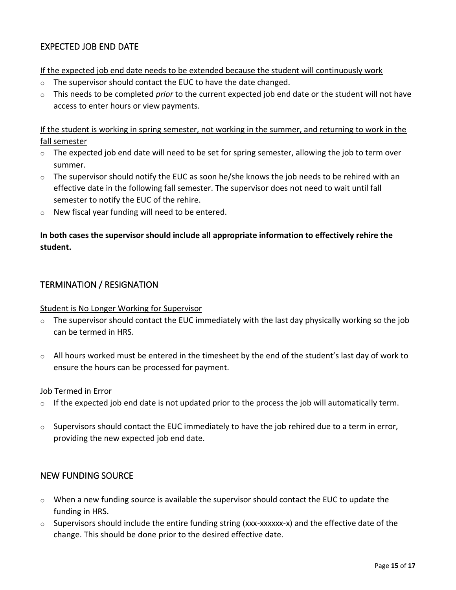### <span id="page-14-0"></span>EXPECTED JOB END DATE

If the expected job end date needs to be extended because the student will continuously work

- o The supervisor should contact the EUC to have the date changed.
- o This needs to be completed *prior* to the current expected job end date or the student will not have access to enter hours or view payments.

If the student is working in spring semester, not working in the summer, and returning to work in the fall semester

- $\circ$  The expected job end date will need to be set for spring semester, allowing the job to term over summer.
- $\circ$  The supervisor should notify the EUC as soon he/she knows the job needs to be rehired with an effective date in the following fall semester. The supervisor does not need to wait until fall semester to notify the EUC of the rehire.
- o New fiscal year funding will need to be entered.

### **In both cases the supervisor should include all appropriate information to effectively rehire the student.**

### <span id="page-14-1"></span>TERMINATION / RESIGNATION

#### Student is No Longer Working for Supervisor

- $\circ$  The supervisor should contact the EUC immediately with the last day physically working so the job can be termed in HRS.
- o All hours worked must be entered in the timesheet by the end of the student's last day of work to ensure the hours can be processed for payment.

#### Job Termed in Error

- $\circ$  If the expected job end date is not updated prior to the process the job will automatically term.
- $\circ$  Supervisors should contact the EUC immediately to have the job rehired due to a term in error, providing the new expected job end date.

#### <span id="page-14-2"></span>NEW FUNDING SOURCE

- o When a new funding source is available the supervisor should contact the EUC to update the funding in HRS.
- $\circ$  Supervisors should include the entire funding string (xxx-xxxxxx-x) and the effective date of the change. This should be done prior to the desired effective date.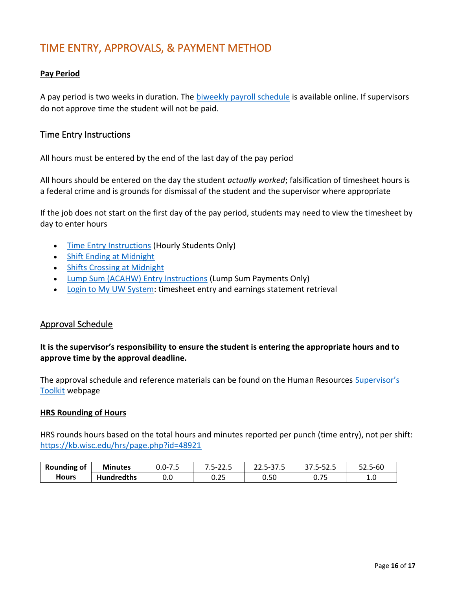# <span id="page-15-0"></span>TIME ENTRY, APPROVALS, & PAYMENT METHOD

### **Pay Period**

A pay period is two weeks in duration. The [biweekly payroll schedule](https://www.wisconsin.edu/ohrwd/benefits/general-employee-info/payroll/) is available online. If supervisors do not approve time the student will not be paid.

### <span id="page-15-1"></span>Time Entry Instructions

All hours must be entered by the end of the last day of the pay period

All hours should be entered on the day the student *actually worked*; falsification of timesheet hours is a federal crime and is grounds for dismissal of the student and the supervisor where appropriate

If the job does not start on the first day of the pay period, students may need to view the timesheet by day to enter hours

- [Time Entry Instructions](https://uwservice.wisconsin.edu/docs/publications/phit_enter_time.pdf) (Hourly Students Only)
- [Shift Ending at Midnight](https://uwservice.wisconsin.edu/docs/publications/phit_shift_ending_at_midnight.pdf)
- [Shifts Crossing at Midnight](https://uwservice.wisconsin.edu/docs/publications/phit_shifts_crossing_midnight.pdf)
- [Lump Sum \(ACAHW\) Entry Instructions](https://uwosh.edu/hr/wp-content/uploads/sites/90/2015/11/LumpTSEntryGuide-1.pdf) (Lump Sum Payments Only)
- [Login to My UW System:](https://wayf.wisconsin.edu/DS/WAYF?entityID=https%3A%2F%2Fmy.wisconsin.edu%2Fshibboleth&return=https%3A%2F%2Fmy.wisconsin.edu%2FShibboleth.sso%2FDS%3FSAMLDS%3D1%26target%3Dcookie%253A1489079730_7079) timesheet entry and earnings statement retrieval

### <span id="page-15-2"></span>Approval Schedule

**It is the supervisor's responsibility to ensure the student is entering the appropriate hours and to approve time by the approval deadline.** 

The approval schedule and reference materials can be found on the Human Resources [Supervisor's](https://uwosh.edu/hr/policies-procedures/supervisors-toolkit/)  [Toolkit](https://uwosh.edu/hr/policies-procedures/supervisors-toolkit/) webpage

#### **HRS Rounding of Hours**

HRS rounds hours based on the total hours and minutes reported per punch (time entry), not per shift: <https://kb.wisc.edu/hrs/page.php?id=48921>

| <b>Rounding of</b> | <b>Minutes</b>    | 0.0-7.5 | 5-<br>-22.J<br>$\cdot$ $\sim$ | 22.5-37.5 | . גבל-י<br>37.J | 52.5-60 |
|--------------------|-------------------|---------|-------------------------------|-----------|-----------------|---------|
| Hours              | <b>Hundredths</b> | v.v     | 0.25                          | 0.50      | u. / J          | 1.0     |